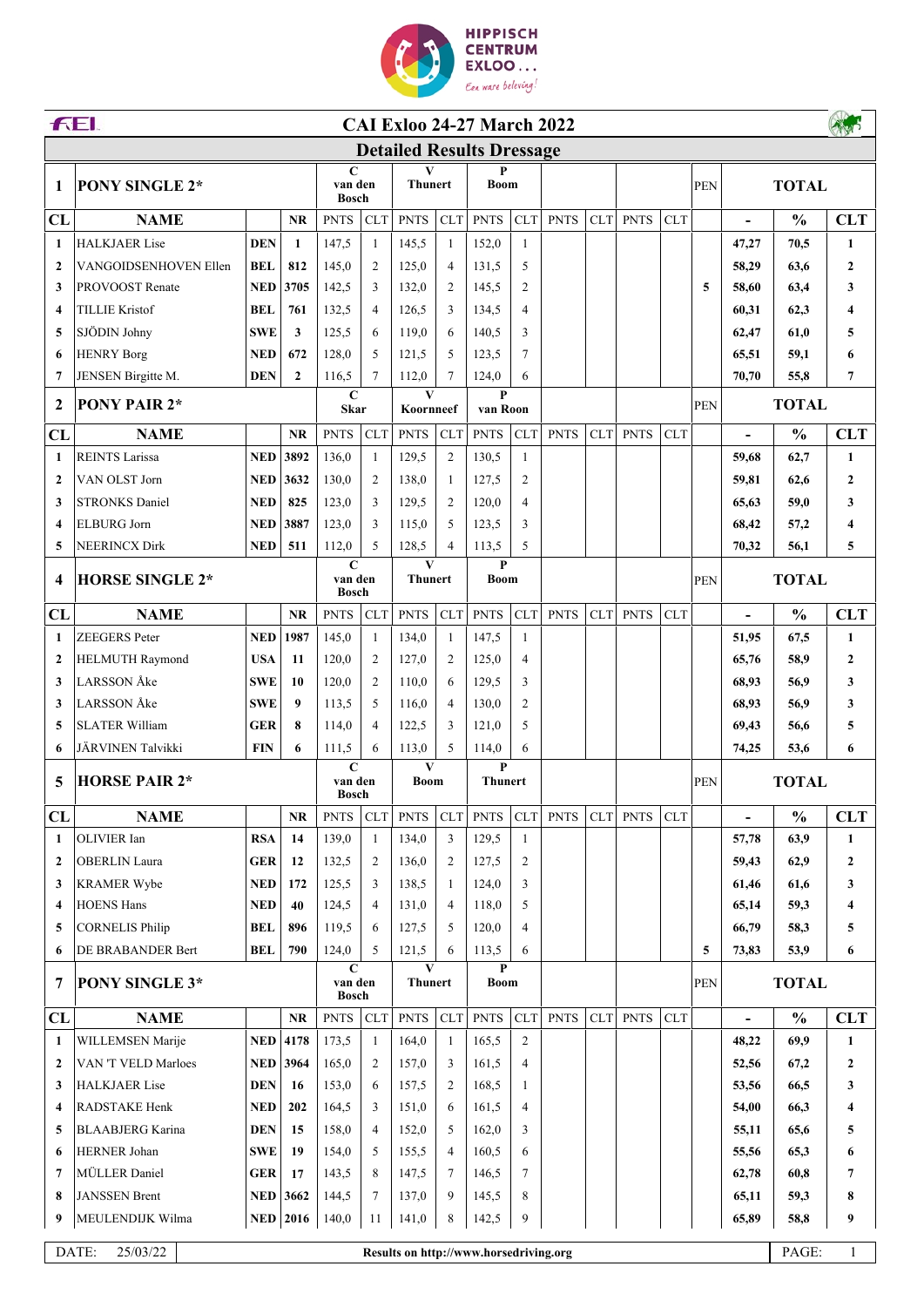

| <b>FEI.</b><br><b>CAI Exloo 24-27 March 2022</b> |                         |            |                                        |                                        |                     |                       |                             |                                        |                 |             |     |             |            |              |                          |                       |                  |
|--------------------------------------------------|-------------------------|------------|----------------------------------------|----------------------------------------|---------------------|-----------------------|-----------------------------|----------------------------------------|-----------------|-------------|-----|-------------|------------|--------------|--------------------------|-----------------------|------------------|
| <b>Detailed Results Dressage</b>                 |                         |            |                                        |                                        |                     |                       |                             |                                        |                 |             |     |             |            |              |                          |                       |                  |
| 1                                                | <b>PONY SINGLE 2*</b>   |            |                                        | $\mathbf C$<br>van den<br><b>Bosch</b> |                     | V<br><b>Thunert</b>   |                             | P<br><b>Boom</b>                       |                 |             |     |             |            | PEN          | <b>TOTAL</b>             |                       |                  |
| CL                                               | <b>NAME</b>             |            | <b>NR</b>                              | <b>PNTS</b>                            | <b>CLT</b>          | <b>PNTS</b>           | CLT                         | <b>PNTS</b>                            | <b>CLT</b>      | <b>PNTS</b> | CLT | <b>PNTS</b> | <b>CLT</b> |              | $\frac{1}{2}$            | $\frac{0}{0}$         | <b>CLT</b>       |
| 1                                                | <b>HALKJAER Lise</b>    | <b>DEN</b> | $\mathbf{1}$                           | 147,5                                  | $\mathbf{1}$        | 145,5                 | 1                           | 152,0                                  | $\mathbf{1}$    |             |     |             |            |              | 47,27                    | 70,5                  | $\mathbf{1}$     |
| $\mathbf{2}$                                     | VANGOIDSENHOVEN Ellen   | <b>BEL</b> | 812                                    | 145,0                                  | 2                   | 125,0                 | $\overline{4}$              | 131,5                                  | 5               |             |     |             |            |              | 58,29                    | 63,6                  | 2                |
| 3                                                | PROVOOST Renate         | <b>NED</b> | 3705                                   | 142,5                                  | 3                   | 132,0                 | $\overline{2}$              | 145,5                                  | $\overline{c}$  |             |     |             |            | 5            | 58,60                    | 63,4                  | 3                |
| $\boldsymbol{4}$                                 | <b>TILLIE Kristof</b>   | <b>BEL</b> | 761                                    | 132,5                                  | $\overline{4}$      | 126,5                 | 3                           | 134,5                                  | $\overline{4}$  |             |     |             |            |              | 60,31                    | 62,3                  | 4                |
| 5                                                | SJÖDIN Johny            | <b>SWE</b> | 3                                      | 125,5                                  | 6                   | 119,0                 | 6                           | 140,5                                  | 3               |             |     |             |            |              | 62,47                    | 61,0                  | 5                |
| 6                                                | <b>HENRY Borg</b>       | <b>NED</b> | 672                                    | 128,0                                  | 5                   | 121,5                 | .5                          | 123,5                                  | $7\phantom{.0}$ |             |     |             |            |              | 65,51                    | 59,1                  | 6                |
| 7                                                | JENSEN Birgitte M.      | <b>DEN</b> | $\mathbf{2}$                           | 116,5                                  | 7                   | 112,0                 | $\overline{7}$              | 124,0                                  | 6               |             |     |             |            |              | 70,70                    | 55,8                  | 7                |
| $\overline{2}$                                   | <b>PONY PAIR 2*</b>     |            |                                        | $\mathbf C$<br><b>Skar</b>             |                     | V<br>Koornneef        |                             | P<br>van Roon                          |                 |             |     |             |            | PEN          | <b>TOTAL</b>             |                       |                  |
| CL                                               | <b>NAME</b>             |            | <b>NR</b>                              | <b>PNTS</b>                            | <b>CLT</b>          | <b>PNTS</b>           | <b>CLT</b>                  | <b>PNTS</b>                            | <b>CLT</b>      | <b>PNTS</b> | CLT | <b>PNTS</b> | <b>CLT</b> |              | $\overline{\phantom{a}}$ | $\frac{0}{0}$         | <b>CLT</b>       |
| 1                                                | <b>REINTS Larissa</b>   | <b>NED</b> | 3892                                   | 136.0                                  | 1                   | 129,5                 | $\overline{2}$              | 130,5                                  | $\mathbf{1}$    |             |     |             |            |              | 59,68                    | 62,7                  | $\mathbf{1}$     |
| $\mathbf{2}$                                     | VAN OLST Jorn           | <b>NED</b> | 3632                                   | 130,0                                  | 2                   | 138,0                 | -1                          | 127,5                                  | 2               |             |     |             |            |              | 59,81                    | 62,6                  | 2                |
| 3                                                | <b>STRONKS Daniel</b>   | <b>NED</b> | 825                                    | 123,0                                  | 3                   | 129,5                 | 2                           | 120,0                                  | $\overline{4}$  |             |     |             |            |              | 65,63                    | 59,0                  | 3                |
| $\boldsymbol{4}$                                 | <b>ELBURG</b> Jorn      | NED        | 3887                                   | 123,0                                  | 3                   | 115,0                 | .5                          | 123,5                                  | 3               |             |     |             |            |              | 68,42                    | 57,2                  | 4                |
| 5                                                | <b>NEERINCX Dirk</b>    | NED        | 511                                    | 112,0                                  | 5                   | 128,5                 | $\overline{4}$              | 113,5                                  | 5               |             |     |             |            |              | 70,32                    | 56,1                  | 5                |
| $\overline{\mathbf{4}}$                          | <b>HORSE SINGLE 2*</b>  |            | $\mathbf C$<br>van den<br><b>Bosch</b> |                                        | V<br><b>Thunert</b> |                       | $\mathbf{P}$<br><b>Boom</b> |                                        |                 |             |     |             | <b>PEN</b> |              | <b>TOTAL</b>             |                       |                  |
| CL                                               | <b>NAME</b>             |            | <b>NR</b>                              | <b>PNTS</b>                            | CLT                 | <b>PNTS</b>           | CLT                         | <b>PNTS</b>                            | <b>CLT</b>      | <b>PNTS</b> | CLT | <b>PNTS</b> | <b>CLT</b> |              | $\blacksquare$           | $\frac{0}{0}$         | <b>CLT</b>       |
| 1                                                | <b>ZEEGERS</b> Peter    | <b>NED</b> | 1987                                   | 145,0                                  | 1                   | 134,0                 | -1                          | 147,5                                  | 1               |             |     |             |            |              | 51,95                    | 67,5                  | 1                |
| $\overline{2}$                                   | <b>HELMUTH Raymond</b>  | <b>USA</b> | 11                                     | 120,0                                  | 2                   | 127,0                 | $\overline{2}$              | 125,0                                  | $\overline{4}$  |             |     |             |            |              | 65,76                    | 58,9                  | $\mathbf{2}$     |
| 3                                                | LARSSON Åke             | <b>SWE</b> | 10                                     | 120,0                                  | $\overline{2}$      | 110,0                 | 6                           | 129,5                                  | 3               |             |     |             |            |              | 68,93                    | 56,9                  | 3                |
| 3                                                | <b>LARSSON</b> Åke      | <b>SWE</b> | 9                                      | 113,5                                  | 5                   | 116,0                 | $\overline{4}$              | 130,0                                  | 2               |             |     |             |            |              | 68,93                    | 56,9                  | 3                |
| 5                                                | <b>SLATER William</b>   | <b>GER</b> | 8                                      | 114,0                                  | 4                   | 122,5                 | 3                           | 121,0                                  | 5               |             |     |             |            |              | 69,43                    | 56,6                  | 5                |
| 6                                                | JÄRVINEN Talvikki       | <b>FIN</b> | 6                                      | 111,5                                  | 6                   | 113,0                 | 5                           | 114,0                                  | 6               |             |     |             |            |              | 74,25                    | 53,6                  | 6                |
| 5                                                | <b>HORSE PAIR 2*</b>    |            |                                        | $\mathbf C$<br>van den                 |                     | V<br>Boom             |                             | P<br><b>Thunert</b>                    |                 |             |     |             |            | PEN          |                          | <b>TOTAL</b>          |                  |
|                                                  |                         |            |                                        | <b>Bosch</b>                           |                     |                       |                             |                                        |                 |             |     |             |            |              |                          |                       |                  |
| CL                                               | <b>NAME</b>             |            | <b>NR</b>                              | <b>PNTS</b>                            | <b>CLT</b>          | <b>PNTS</b>           | CLT                         | <b>PNTS</b>                            | <b>CLT</b>      | <b>PNTS</b> | CLT | <b>PNTS</b> | <b>CLT</b> |              | $\frac{1}{2}$            | $\frac{0}{0}$         | <b>CLT</b>       |
| $\mathbf{1}$                                     | OLIVIER Ian             | <b>RSA</b> | 14                                     | 139,0                                  | $\mathbf{1}$        | 134,0                 | 3                           | 129,5                                  | $\mathbf{1}$    |             |     |             |            |              | 57,78                    | 63,9                  | 1                |
| $\overline{2}$                                   | <b>OBERLIN</b> Laura    | <b>GER</b> | 12                                     | 132,5                                  | 2                   | 136,0                 | $\overline{2}$              | 127,5                                  | $\overline{c}$  |             |     |             |            |              | 59,43                    | 62,9                  | 2                |
| 3                                                | <b>KRAMER Wybe</b>      | <b>NED</b> | 172                                    | 125,5                                  | 3                   | 138,5                 | 1                           | 124,0                                  | 3               |             |     |             |            |              | 61,46                    | 61,6                  | 3                |
| $\overline{\mathbf{4}}$                          | <b>HOENS Hans</b>       | <b>NED</b> | 40                                     | 124,5                                  | 4                   | 131,0                 | $\overline{4}$              | 118,0                                  | 5               |             |     |             |            |              | 65,14                    | 59,3                  | 4                |
| 5                                                | <b>CORNELIS Philip</b>  | <b>BEL</b> | 896                                    | 119,5                                  | 6                   | 127,5                 | 5                           | 120,0                                  | $\overline{4}$  |             |     |             |            |              | 66,79                    | 58,3                  | 5                |
| 6                                                | DE BRABANDER Bert       | <b>BEL</b> | 790                                    | 124,0<br>$\mathbf C$                   | 5                   | 121,5<br>$\mathbf{V}$ | 6                           | 113,5<br>$\mathbf{P}$                  | 6               |             |     |             |            | 5            | 73,83                    | 53,9                  | 6                |
| 7                                                | <b>PONY SINGLE 3*</b>   |            | van den<br><b>Bosch</b>                |                                        | <b>Thunert</b>      |                       | <b>Boom</b>                 |                                        |                 |             |     |             | <b>PEN</b> | <b>TOTAL</b> |                          |                       |                  |
| CL                                               | <b>NAME</b>             |            | NR                                     | <b>PNTS</b>                            | <b>CLT</b>          | <b>PNTS</b>           | <b>CLT</b>                  | <b>PNTS</b>                            | <b>CLT</b>      | <b>PNTS</b> | CLT | <b>PNTS</b> | CLT        |              | $\overline{a}$           | $\frac{0}{0}$         | <b>CLT</b>       |
| $\mathbf{1}$                                     | WILLEMSEN Marije        | <b>NED</b> | 4178                                   | 173,5                                  | $\mathbf{1}$        | 164,0                 | 1                           | 165,5                                  | $\overline{2}$  |             |     |             |            |              | 48,22                    | 69,9                  | 1                |
| $\mathbf{2}$                                     | VAN 'T VELD Marloes     | NED        | 3964                                   | 165,0                                  | $\overline{c}$      | 157,0                 | 3                           | 161,5                                  | $\overline{4}$  |             |     |             |            |              | 52,56                    | 67,2                  | $\boldsymbol{2}$ |
| 3                                                | <b>HALKJAER</b> Lise    | <b>DEN</b> | 16                                     | 153,0                                  | 6                   | 157,5                 | $\overline{2}$              | 168,5                                  | $\mathbf{1}$    |             |     |             |            |              | 53,56                    | 66,5                  | 3                |
| 4                                                | RADSTAKE Henk           | <b>NED</b> | 202                                    | 164,5                                  | 3                   | 151,0                 | 6                           | 161,5                                  | $\overline{4}$  |             |     |             |            |              | 54,00                    | 66,3                  | 4                |
| 5                                                | <b>BLAABJERG</b> Karina | <b>DEN</b> | 15                                     | 158,0                                  | 4                   | 152,0                 | 5                           | 162,0                                  | 3               |             |     |             |            |              | 55,11                    | 65,6                  | 5                |
| 6                                                | <b>HERNER Johan</b>     | <b>SWE</b> | 19                                     | 154,0                                  | 5                   | 155,5                 | $\overline{4}$              | 160,5                                  | 6               |             |     |             |            |              | 55,56                    | 65,3                  | 6                |
| 7                                                | MÜLLER Daniel           | GER        | 17                                     | 143,5                                  | 8                   | 147,5                 | 7                           | 146,5                                  | $\tau$          |             |     |             |            |              | 62,78                    | 60,8                  | 7                |
| 8                                                | <b>JANSSEN Brent</b>    |            | <b>NED</b> 3662                        | 144,5                                  | $\tau$              | 137,0                 | 9                           | 145,5                                  | 8               |             |     |             |            |              | 65,11                    | 59,3                  | 8                |
| 9                                                | MEULENDIJK Wilma        |            | $NED$ 2016                             | 140,0                                  | 11                  | 141,0                 | 8                           | 142,5                                  | 9               |             |     |             |            |              | 65,89                    | 58,8                  | 9                |
|                                                  | DATE:<br>25/03/22       |            |                                        |                                        |                     |                       |                             | Results on http://www.horsedriving.org |                 |             |     |             |            |              |                          | PAGE:<br>$\mathbf{1}$ |                  |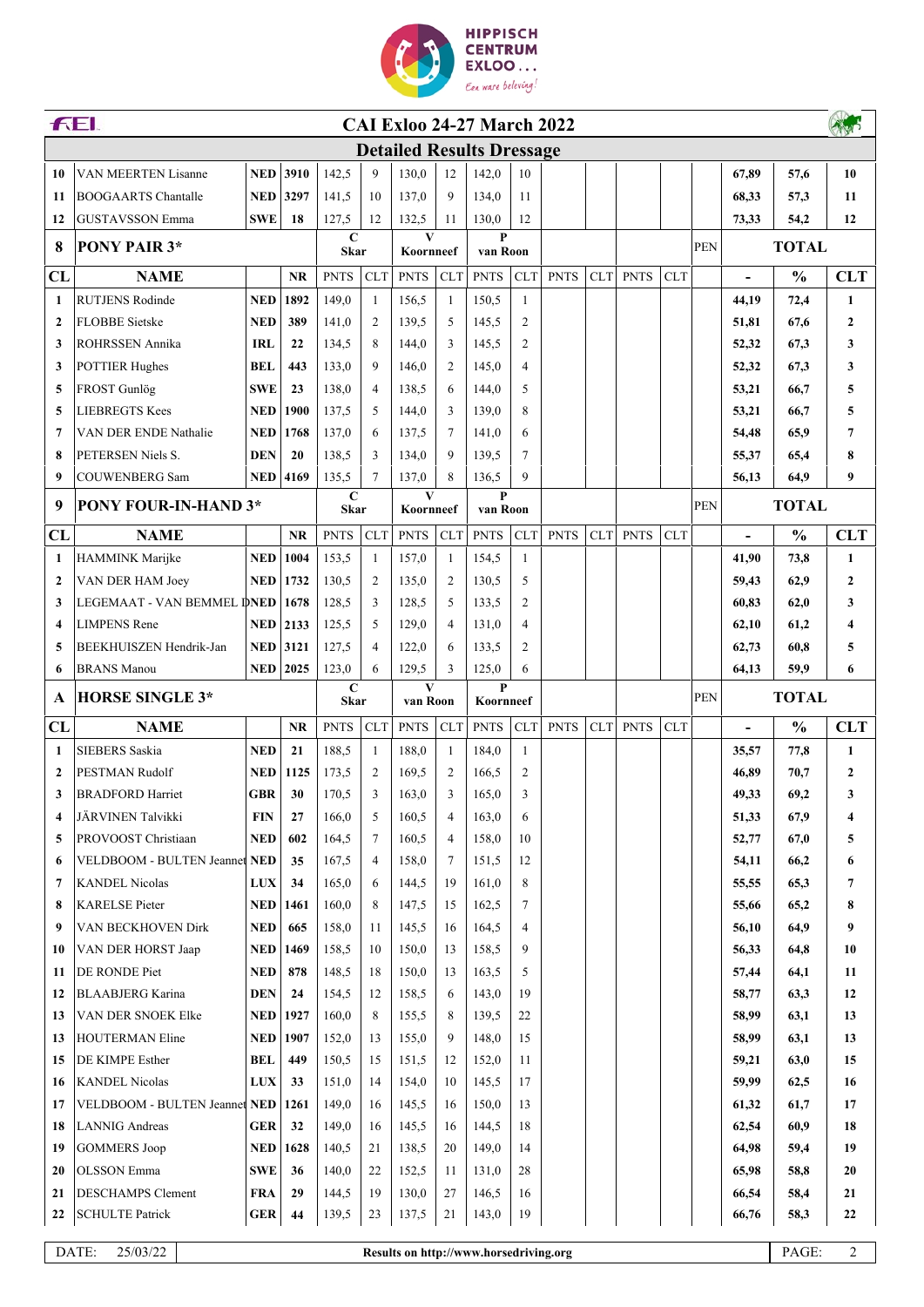

| <b>FEI.</b><br><b>CAI Exloo 24-27 March 2022</b> |                                      |                 |                   |                            |                                  |                |                |                          |                |             |     |             |            |              |                          |               |                |
|--------------------------------------------------|--------------------------------------|-----------------|-------------------|----------------------------|----------------------------------|----------------|----------------|--------------------------|----------------|-------------|-----|-------------|------------|--------------|--------------------------|---------------|----------------|
|                                                  |                                      |                 |                   |                            | <b>Detailed Results Dressage</b> |                |                |                          |                |             |     |             |            |              |                          |               |                |
| 10                                               | VAN MEERTEN Lisanne                  | <b>NED</b>      | 3910              | 142,5                      | 9                                | 130.0          | 12             | 142,0                    | 10             |             |     |             |            |              | 67,89                    | 57,6          | 10             |
| 11                                               | <b>BOOGAARTS</b> Chantalle           | <b>NED 3297</b> |                   | 141,5                      | 10                               | 137,0          | $\mathbf{Q}$   | 134,0                    | 11             |             |     |             |            |              | 68,33                    | 57,3          | 11             |
| 12                                               | GUSTAVSSON Emma                      | <b>SWE</b>      | 18                | 127,5                      | 12                               | 132,5          | 11             | 130,0                    | 12             |             |     |             |            |              | 73,33                    | 54,2          | 12             |
| 8                                                | <b>PONY PAIR 3*</b>                  |                 | C<br><b>Skar</b>  |                            | V<br>Koornneef                   |                | P<br>van Roon  |                          |                |             |     |             | PEN        | <b>TOTAL</b> |                          |               |                |
| CL                                               | <b>NAME</b>                          |                 | <b>NR</b>         | <b>PNTS</b>                | <b>CLT</b>                       | <b>PNTS</b>    | <b>CLT</b>     | <b>PNTS</b>              | <b>CLT</b>     | <b>PNTS</b> | CLT | <b>PNTS</b> | <b>CLT</b> |              | $\overline{\phantom{0}}$ | $\frac{0}{0}$ | <b>CLT</b>     |
| 1                                                | <b>RUTJENS Rodinde</b>               | <b>NED</b>      | 1892              | 149,0                      | $\mathbf{1}$                     | 156.5          | -1             | 150,5                    | $\mathbf{1}$   |             |     |             |            |              | 44.19                    | 72,4          | $\mathbf{1}$   |
| $\mathbf{2}$                                     | <b>FLOBBE</b> Sietske                | <b>NED</b>      | 389               | 141,0                      | $\overline{2}$                   | 139,5          | 5              | 145,5                    | $\overline{2}$ |             |     |             |            |              | 51,81                    | 67,6          | $\overline{2}$ |
| 3                                                | ROHRSSEN Annika                      | <b>IRL</b>      | 22                | 134,5                      | 8                                | 144,0          | 3              | 145,5                    | $\overline{2}$ |             |     |             |            |              | 52,32                    | 67,3          | 3              |
| 3                                                | <b>POTTIER Hughes</b>                | <b>BEL</b>      | 443               | 133,0                      | 9                                | 146,0          | $\overline{2}$ | 145,0                    | $\overline{4}$ |             |     |             |            |              | 52,32                    | 67,3          | 3              |
| 5                                                | FROST Gunlög                         | <b>SWE</b>      | 23                | 138,0                      | 4                                | 138,5          | 6              | 144,0                    | 5              |             |     |             |            |              | 53,21                    | 66,7          | 5              |
| 5                                                | <b>LIEBREGTS Kees</b>                | <b>NED</b>      | 1900              | 137,5                      | 5                                | 144,0          | 3              | 139,0                    | 8              |             |     |             |            |              | 53,21                    | 66,7          | 5              |
| 7                                                | VAN DER ENDE Nathalie                | <b>NED</b>      | 1768              | 137,0                      | 6                                | 137,5          | 7              | 141,0                    | 6              |             |     |             |            |              | 54,48                    | 65,9          | 7              |
| 8                                                | PETERSEN Niels S.                    | <b>DEN</b>      | 20                | 138.5                      | 3                                | 134,0          | 9              | 139,5                    | 7              |             |     |             |            |              | 55,37                    | 65,4          | 8              |
| 9                                                | <b>COUWENBERG Sam</b>                | <b>NED</b>      | 4169              | 135,5                      | 7                                | 137,0          | 8              | 136,5                    | 9              |             |     |             |            |              | 56,13                    | 64,9          | 9              |
| 9                                                | <b>PONY FOUR-IN-HAND 3*</b>          |                 |                   | $\mathbf C$<br><b>Skar</b> |                                  | V<br>Koornneef |                | $\mathbf{P}$<br>van Roon |                |             |     |             |            | PEN          |                          | <b>TOTAL</b>  |                |
| CL                                               | <b>NAME</b>                          |                 | <b>NR</b>         | <b>PNTS</b>                | <b>CLT</b>                       | <b>PNTS</b>    | <b>CLT</b>     | <b>PNTS</b>              | <b>CLT</b>     | <b>PNTS</b> | CLT | <b>PNTS</b> | <b>CLT</b> |              |                          | $\frac{0}{0}$ | <b>CLT</b>     |
| 1                                                | HAMMINK Marijke                      | <b>NED</b>      | 1004              | 153.5                      | 1                                | 157,0          | -1             | 154,5                    | 1              |             |     |             |            |              | 41,90                    | 73,8          | 1              |
| $\mathbf{2}$                                     | VAN DER HAM Joey                     | <b>NED</b>      | 1732              | 130,5                      | $\overline{2}$                   | 135,0          | $\overline{2}$ | 130,5                    | 5              |             |     |             |            |              | 59,43                    | 62,9          | $\mathbf{2}$   |
| 3                                                | LEGEMAAT - VAN BEMMEL DNED   1678    |                 |                   | 128,5                      | 3                                | 128,5          | 5              | 133,5                    | 2              |             |     |             |            |              | 60,83                    | 62,0          | 3              |
| 4                                                | <b>LIMPENS</b> Rene                  | $NED$ 2133      |                   | 125,5                      | 5                                | 129,0          | $\overline{4}$ | 131,0                    | $\overline{4}$ |             |     |             |            |              | 62,10                    | 61,2          | 4              |
| 5                                                | BEEKHUISZEN Hendrik-Jan              |                 | <b>NED</b> 3121   | 127,5                      | 4                                | 122,0          | 6              | 133,5                    | $\overline{c}$ |             |     |             |            |              | 62,73                    | 60,8          | 5              |
| 6                                                | <b>BRANS</b> Manou                   |                 | <b>NED</b> 2025   | 123,0                      | 6                                | 129,5          | 3              | 125,0                    | 6              |             |     |             |            |              | 64,13                    | 59,9          | 6              |
|                                                  | <b>HORSE SINGLE 3*</b>               |                 |                   | C<br><b>Skar</b>           |                                  | V<br>van Roon  |                | P<br>Koornneef           |                |             |     |             |            |              | <b>TOTAL</b>             |               |                |
| A                                                |                                      |                 |                   |                            |                                  |                |                |                          |                |             |     |             |            | <b>PEN</b>   |                          |               |                |
| CL                                               | <b>NAME</b>                          |                 | <b>NR</b>         | <b>PNTS</b>                | <b>CLT</b>                       | <b>PNTS</b>    | CLT            | <b>PNTS</b>              | <b>CLT</b>     | <b>PNTS</b> | CLT | <b>PNTS</b> | <b>CLT</b> |              | $\blacksquare$           | $\frac{0}{0}$ | <b>CLT</b>     |
| $\mathbf{1}$                                     | <b>SIEBERS Saskia</b>                | <b>NED</b>      | 21                | 188,5                      | 1                                | 188,0          | -1             | 184,0                    | -1             |             |     |             |            |              | 35,57                    | 77,8          | 1              |
| $\mathbf{2}$                                     | PESTMAN Rudolf                       | <b>NED</b>      | 1125              | 173,5                      | 2                                | 169.5          | $\overline{2}$ | 166,5                    | $\overline{2}$ |             |     |             |            |              | 46,89                    | 70,7          | $\overline{2}$ |
| 3                                                | <b>BRADFORD Harriet</b>              | <b>GBR</b>      | 30                | 170,5                      | 3                                | 163,0          | 3              | 165,0                    | 3              |             |     |             |            |              | 49,33                    | 69,2          | 3              |
| 4                                                | JÄRVINEN Talvikki                    | <b>FIN</b>      | 27                | 166,0                      | 5                                | 160,5          | 4              | 163,0                    | 6              |             |     |             |            |              | 51,33                    | 67,9          | 4              |
| 5                                                | PROVOOST Christiaan                  | <b>NED</b>      | 602               | 164,5                      | $\tau$                           | 160,5          | $\overline{4}$ | 158,0                    | 10             |             |     |             |            |              | 52,77                    | 67,0          | 5              |
| 6                                                | VELDBOOM - BULTEN Jeannet NED        |                 | 35                | 167,5                      | 4                                | 158,0          | 7              | 151,5                    | 12             |             |     |             |            |              | 54,11                    | 66,2          | 6              |
| 7                                                | <b>KANDEL Nicolas</b>                | <b>LUX</b>      | 34                | 165,0                      | 6                                | 144,5          | 19             | 161,0                    | 8              |             |     |             |            |              | 55,55                    | 65,3          | 7              |
| 8                                                | <b>KARELSE Pieter</b>                | <b>NED</b>      | 1461              | 160,0                      | 8                                | 147,5          | 15             | 162,5                    | 7              |             |     |             |            |              | 55,66                    | 65,2          | 8              |
| 9                                                | VAN BECKHOVEN Dirk                   | <b>NED</b>      | 665               | 158,0                      | 11                               | 145,5          | 16             | 164,5                    | $\overline{4}$ |             |     |             |            |              | 56,10                    | 64,9          | 9              |
| 10                                               | VAN DER HORST Jaap                   | <b>NED</b>      | 1469              | 158,5                      | 10                               | 150,0          | 13             | 158,5                    | 9              |             |     |             |            |              | 56,33                    | 64,8          | 10             |
| 11                                               | DE RONDE Piet                        | <b>NED</b>      | 878               | 148,5                      | 18                               | 150,0          | 13             | 163,5                    | 5              |             |     |             |            |              | 57,44                    | 64,1          | 11             |
| 12                                               | <b>BLAABJERG</b> Karina              | <b>DEN</b>      | 24                | 154,5                      | 12                               | 158,5          | 6              | 143,0                    | 19             |             |     |             |            |              | 58,77                    | 63,3          | 12             |
| 13                                               | VAN DER SNOEK Elke                   |                 | <b>NED</b>   1927 | 160,0                      | 8                                | 155,5          | 8              | 139,5                    | 22             |             |     |             |            |              | 58,99                    | 63,1          | 13             |
| 13                                               | <b>HOUTERMAN Eline</b>               | <b>NED</b> 1907 |                   | 152,0                      | 13                               | 155,0          | 9              | 148,0                    | 15             |             |     |             |            |              | 58,99                    | 63,1          | 13             |
| 15                                               | DE KIMPE Esther                      | BEL             | 449               | 150,5                      | 15                               | 151,5          | 12             | 152,0                    | 11             |             |     |             |            |              | 59,21                    | 63,0          | 15             |
| 16                                               | <b>KANDEL Nicolas</b>                | <b>LUX</b>      | 33                | 151,0                      | 14                               | 154,0          | 10             | 145,5                    | 17             |             |     |             |            |              | 59,99                    | 62,5          | 16             |
| 17                                               | VELDBOOM - BULTEN Jeannet NED   1261 |                 |                   | 149,0                      | 16                               | 145,5          | 16             | 150,0                    | 13             |             |     |             |            |              | 61,32                    | 61,7          | 17             |
| 18                                               | <b>LANNIG</b> Andreas                | <b>GER</b>      | 32                | 149,0                      | 16                               | 145,5          | 16             | 144,5                    | 18             |             |     |             |            |              | 62,54                    | 60,9          | 18             |
| 19                                               | <b>GOMMERS</b> Joop                  |                 | <b>NED</b>   1628 | 140,5                      | 21                               | 138,5          | 20             | 149,0                    | 14             |             |     |             |            |              | 64,98                    | 59,4          | 19             |
| 20                                               | <b>OLSSON</b> Emma                   | <b>SWE</b>      | 36                | 140,0                      | 22                               | 152,5          | 11             | 131,0                    | 28             |             |     |             |            |              | 65,98                    | 58,8          | 20             |
| 21                                               | <b>DESCHAMPS Clement</b>             | <b>FRA</b>      | 29                | 144,5                      | 19                               | 130,0          | 27             | 146,5                    | 16             |             |     |             |            |              | 66,54                    | 58,4          | 21             |
| 22                                               | <b>SCHULTE Patrick</b>               | <b>GER</b>      | 44                | 139,5                      | 23                               | 137,5          | 21             | 143,0                    | 19             |             |     |             |            |              | 66,76                    | 58,3          | 22             |